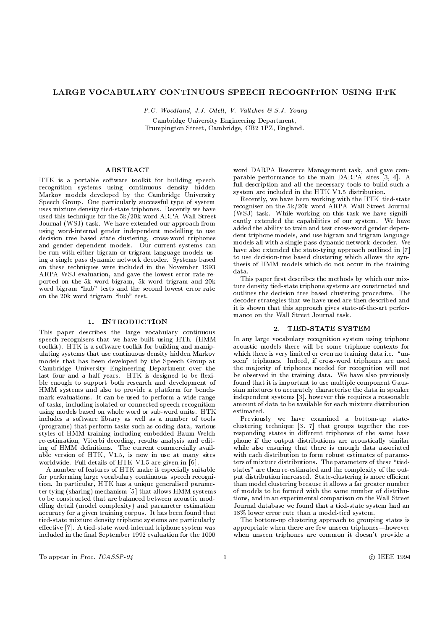# LARGE VOCABULARY CONTINUOUS SPEECH RECOGNITION USING HTK

P.C. Woodland, J.J. Odell, V. Valtchev & S.J. Young

Cambridge University Engineering Department, Trumpington Street, Cambridge, CB2 1PZ, England.

# **ABSTRACT**

HTK is a portable software toolkit for building speech recognition systems using continuous density hidden Markov models developed by the Cambridge University Speech Group. One particularly successful type of system uses mixture density tied-state triphones. Recently we have used this technique for the 5k/20k word ARPA Wall Street Journal (WSJ) task. We have extended our approach from using word-internal gender independent modelling to use decision tree based state clustering, cross-word triphones and gender dependent models. Our current systems can be run with either bigram or trigram language models using a single pass dynamic network decoder. Systems based on these techniques were included in the November 1993 ARPA WSJ evaluation, and gave the lowest error rate reported on the 5k word bigram, 5k word trigram and 20k word bigram "hub" tests and the second lowest error rate on the 20k word trigram "hub" test.

### 1. INTRODUCTION

This paper describes the large vocabulary continuous speech recognisers that we have built using HTK (HMM toolkit). HTK is a software toolkit for building and manipulating systems that use continuous density hidden Markov models that has been developed by the Speech Group at Cambridge University Engineering Department over the last four and a half years. HTK is designed to be flexible enough to support both research and development of HMM systems and also to provide a platform for benchmark evaluations. It can be used to perform a wide range of tasks, including isolated or connected speech recognition using models based on whole word or sub-word units. HTK includes a software library as well as a number of tools (programs) that perform tasks such as coding data, various styles of HMM training including embedded Baum-Welch re-estimation, Viterbi decoding, results analysis and editing of HMM definitions. The current commercially available version of HTK, V1.5, is now in use at many sites worldwide. Full details of HTK V1.5 are given in [6].

A number of features of HTK make it especially suitable for performing large vocabulary continuous speech recognition. In particular, HTK has a unique generalised parameter tying (sharing) mechanism [5] that allows HMM systems<br>to be constructed that are balanced between acoustic modelling detail (model complexity) and parameter estimation accuracy for a given training corpus. It has been found that tied-state mixture density triphone systems are particularly effective [7]. A tied-state word-internal triphone system was included in the final September 1992 evaluation for the 1000

word DARPA Resource Management task, and gave comparable performance to the main DARPA sites [3, 4]. A full description and all the necessary tools to build such a system are included in the HTK V1.5 distribution.

Recently, we have been working with the HTK tied-state recogniser on the 5k/20k word ARPA Wall Street Journal (WSJ) task. While working on this task we have significantly extended the capabilities of our system. We have added the ability to train and test cross-word gender dependent triphone models, and use bigram and trigram language models all with a single pass dynamic network decoder. We have also extended the state-tying approach outlined in [7] to use decision-tree based clustering which allows the synthesis of HMM models which do not occur in the training data

This paper first describes the methods by which our mixture density tied-state triphone systems are constructed and outlines the decision tree based clustering procedure. The decoder strategies that we have used are then described and it is shown that this approach gives state-of-the-art performance on the Wall Street Journal task.

#### TIED-STATE SYSTEM  $2<sup>1</sup>$

In any large vocabulary recognition system using triphone acoustic models there will be some triphone contexts for which there is very limited or even no training data i.e. "unseen" triphones. Indeed, if cross-word triphones are used the majority of triphones needed for recognition will not be observed in the training data. We have also previously found that it is important to use multiple component Gaussian mixtures to accurately characterise the data in speaker independent systems [3], however this requires a reasonable amount of data to be available for each mixture distribution estimated.

Previously we have examined a bottom-up stateclustering technique [3, 7] that groups together the corresponding states in different triphones of the same base phone if the output distributions are acoustically similar while also ensuring that there is enough data associated with each distribution to form robust estimates of parameters of mixture distributions. The parameters of these "tiedstates" are then re-estimated and the complexity of the output distribution increased. State-clustering is more efficient than model clustering because it allows a far greater number of models to be formed with the same number of distributions, and in an experimental comparison on the Wall Street Journal database we found that a tied-state system had an 18% lower error rate than a model-tied system.

The bottom-up clustering approach to grouping states is appropriate when there are few unseen triphones—however when unseen triphones are common it doesn't provide a

To appear in Proc. ICASSP-94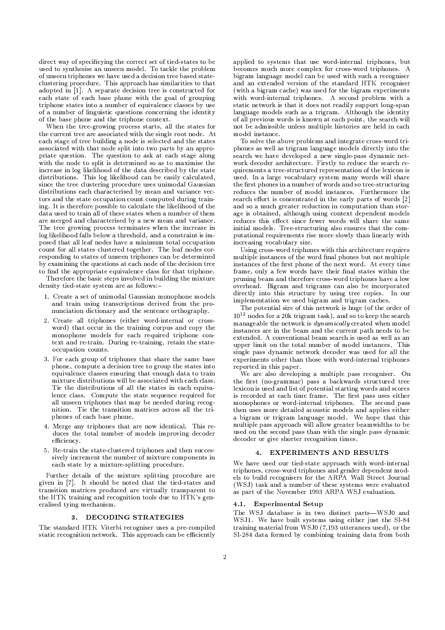direct way of specificying the correct set of tied-states to be used to synthesise an unseen model. To tackle the problem of unseen triphones we have used a decision tree based stateclustering procedure. This approach has similarities to that adopted in [1]. A separate decision tree is constructed for each state of each base phone with the goal of grouping triphone states into a number of equivalence classes by use of a number of linguistic questions concerning the identity of the base phone and the triphone context.

When the tree-growing process starts, all the states for the current tree are associated with the single root node. At each stage of tree building a node is selected and the states associated with that node split into two parts by an appropriate question. The question to ask at each stage along with the node to split is determined so as to maximise the increase in log likelihood of the data described by the state distributions. This log likelihood can be easily calculated, since the tree clustering procedure uses unimodal Gaussian distributions each characterised by mean and variance vectors and the state occupation count computed during training. It is therefore possible to calculate the likelihood of the data used to train all of these states when a number of them are merged and characterised by a new mean and variance. The tree growing process terminates when the increase in log likelihood falls below a threshold, and a constraint is imposed that all leaf nodes have a minimum total occupation count for all states clustered together. The leaf nodes corresponding to states of unseen triphones can be determined by examining the questions at each node of the decision tree to find the appropriate equivalence class for that triphone.

Therefore the basic steps involved in building the mixture density tied-state system are as follows:-

- 1. Create a set of unimodal Gaussian monophone models and train using transcriptions derived from the pronunciation dictionary and the sentence orthography.
- 2. Create all triphones (either word-internal or crossword) that occur in the training corpus and copy the monophone models for each required triphone context and re-train. During re-training, retain the stateoccupation counts.
- 3. For each group of triphones that share the same base phone, compute a decision tree to group the states into equivalence classes ensuring that enough data to train mixture distributions will be associated with each class. Tie the distributions of all the states in each equivalence class. Compute the state sequence required for all unseen triphones that may be needed during recognition. Tie the transition matrices across all the triphones of each base phone.
- 4. Merge any triphones that are now identical. This reduces the total number of models improving decoder efficiency.
- 5. Re-train the state-clustered triphones and then successively increment the number of mixture components in each state by a mixture-splitting procedure.

Further details of the mixture splitting procedure are given in [7]. It should be noted that the tied-states and transition matrices produced are virtually transparent to the HTK training and recognition tools due to HTK's generalised tying mechanism.

# 3. DECODING STRATEGIES

The standard HTK Viterbi recogniser uses a pre-compiled static recognition network. This approach can be efficiently

applied to systems that use word-internal triphones, but becomes much more complex for cross-word triphones. A bigram language model can be used with such a recogniser and an extended version of the standard HTK recogniser (with a bigram cache) was used for the bigram experiments with word-internal triphones. A second problem with a static network is that it does not readily support long-span language models such as a trigram. Although the identity of all previous words is known at each point, the search will not be admissible unless multiple histories are held in each model instance.

To solve the above problems and integrate cross-word triphones as well as trigram language models directly into the search we have developed a new single-pass dynamic network decoder architecture. Firstly to reduce the search requirements a tree-structured representation of the lexicon is used. In a large vocabulary system many words will share the first phones in a number of words and so tree-structuring reduces the number of model instances. Furthermore the search effort is concentrated in the early parts of words [2] and so a much greater reduction in computation than storage is obtained, although using context dependent models reduces this effect since fewer words will share the same initial models. Tree-structuring also ensures that the computational requirements rise more slowly than linearly with increasing vocabulary size.

Using cross-word triphones with this architecture requires multiple instances of the word final phones but not multiple instances of the first phone of the next word. At every time frame, only a few words have their final states within the pruning beam and therefore cross-word triphones have a low overhead. Bigram and trigrams can also be incorporated directly into this structure by using tree copies. In our implementation we used bigram and trigram caches.

The potential size of this network is huge (of the order of  $10^{12}$  nodes for a 20k trigram task), and so to keep the search manageable the network is *dynamically* created when model instances are in the beam and the current path needs to be extended. A conventional beam search is used as well as an upper limit on the total number of model instances. This single pass dynamic network decoder was used for all the experiments other than those with word-internal triphones reported in this paper.

We are also developing a multiple pass recogniser. On the first (no-grammar) pass a backwards structured tree lexicon is used and list of potential starting words and scores is recorded at each time frame. The first pass uses either monophones or word-internal triphones. The second pass then uses more detailed acoustic models and applies either a bigram or trigram language model. We hope that this multiple pass approach will allow greater beamwidths to be used on the second pass than with the single pass dynamic decoder or give shorter recognition times.

### EXPERIMENTS AND RESULTS

We have used our tied-state approach with word-internal triphones, cross-word triphones and gender dependent models to build recognisers for the ARPA Wall Street Journal (WSJ) task and a number of these systems were evaluated as part of the November 1993 ARPA WSJ evaluation.

# 4.1. Experimental Setup

The WSJ database is in two distinct parts-WSJ0 and WSJ1. We have built systems using either just the SI-84 training material from WSJ0 (7,193 utterances used), or the SI-284 data formed by combining training data from both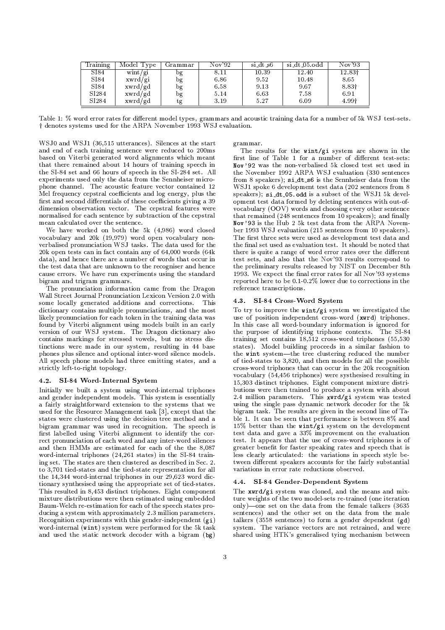| Training | Model Type              | Grammar     | Nov'92 | si dt s6 | si_dt_05.odd | Nov'93   |
|----------|-------------------------|-------------|--------|----------|--------------|----------|
| SI84     | $\text{wint}/\text{gi}$ | bg          | 8.11   | 10.39    | 12.40        | $12.83+$ |
| SI84     | xwrd/gi                 | bg          | 6.86   | 9.52     | 10.48        | 8.65     |
| SI84     | xwrd/gd                 | $_{\rm bg}$ | 6.58   | 9.13     | 9.67         | 8.83+    |
| SI284    | xwrd/gd                 | $_{\rm bg}$ | 5.14   | 6.63     | 7.58         | 6.91     |
| SI284    | xwrd/gd                 | tg          | 3.19   | 5.27     | 6.09         | 4.99+    |

Table 1: % word error rates for different model types, grammars and acoustic training data for a number of 5k WSJ test-sets. † denotes systems used for the ARPA November 1993 WSJ evaluation.

WSJ0 and WSJ1 (36,515 utterances). Silences at the start and end of each training sentence were reduced to 200ms based on Viterbi generated word alignments which meant that there remained about 14 hours of training speech in the SI-84 set and 66 hours of speech in the SI-284 set. All experiments used only the data from the Sennheiser microphone channel. The acoustic feature vector contained 12 Mel frequency cepstral coefficients and log energy, plus the first and second differentials of these coefficients giving a 39 dimension observation vector. The cepstral features were normalised for each sentence by subtraction of the cepstral mean calculated over the sentence.

We have worked on both the 5k (4,986) word closed vocabulary and 20k (19,979) word open vocabulary nonverbalised pronunciation WSJ tasks. The data used for the 20k open tests can in fact contain any of 64,000 words (64k) data), and hence there are a number of words that occur in the test data that are unknown to the recogniser and hence cause errors. We have run experiments using the standard bigram and trigram grammars.

The pronunciation information came from the Dragon Wall Street Journal Pronunciation Lexicon Version 2.0 with some locally generated additions and corrections. - This dictionary contains multiple pronunciations, and the most likely pronunciation for each token in the training data was found by Viterbi alignment using models built in an early version of our WSJ system. The Dragon dictionary also contains markings for stressed vowels, but no stress distinctions were made in our system, resulting in 44 base phones plus silence and optional inter-word silence models. All speech phone models had three emitting states, and a strictly left-to-right topology.

# 4.2. SI-84 Word-Internal System

Initially we built a system using word-internal triphones and gender independent models. This system is essentially a fairly straightforward extension to the systems that we used for the Resource Management task [3], except that the states were clustered using the decision tree method and a bigram grammar was used in recognition. The speech is first labelled using Viterbi alignment to identify the correct pronunciation of each word and any inter-word silences and then HMMs are estimated for each of the the 8.087 word-internal triphones (24,261 states) in the SI-84 training set. The states are then clustered as described in Sec. 2. to 3,701 tied-states and the tied-state representation for all the 14,344 word-internal triphones in our 29,623 word dictionary synthesised using the appropriate set of tied-states. This resulted in 8,453 distinct triphones. Eight component mixture distributions were then estimated using embedded Baum-Welch re-estimation for each of the speech states producing a system with approximately 2.3 million parameters. Recognition experiments with this gender-independent (gi) word-internal (wint) system were performed for the 5k task and used the static network decoder with a bigram (bg)

grammar.

The results for the wint/gi system are shown in the first line of Table 1 for a number of different test-sets: Nov'92 was the non-verbalised 5k closed test set used in the November 1992 ARPA WSJ evaluation (330 sentences from 8 speakers); si\_dt\_s6 is the Sennheiser data from the WSJ1 spoke 6 development test data (202 sentences from 8 speakers); si\_dt\_05.odd is a subset of the WSJ1 5k development test data formed by deleting sentences with out-ofvocabulary (OOV) words and choosing every other sentence that remained (248 sentences from 10 speakers); and finally Nov'93 is the Hub 2 5k test data from the ARPA November 1993 WSJ evaluation (215 sentences from 10 speakers). The first three sets were used as development test data and the final set used as evaluation test. It should be noted that there is quite a range of word error rates over the different test sets, and also that the Nov'93 results correspond to the preliminary results released by NIST on December 8th 1993. We expect the final error rates for all Nov'93 systems reported here to be 0.1-0.2% lower due to corrections in the reference transcriptions.

# 4.3. SI-84 Cross-Word System

To try to improve the wint/gi system we investigated the use of position independent cross-word (xwrd) triphones. In this case all word-boundary information is ignored for the purpose of identifying triphone contexts. The SI-84 training set contains  $18,512$  cross-word triphones (55,530 states). Model building proceeds in a similar fashion to the wint system-the tree clustering reduced the number of tied-states to 3,820, and then models for all the possible cross-word triphones that can occur in the 20k recognition vocabulary (54,456 triphones) were systhesised resulting in 15,303 distinct triphones. Eight component mixture distributions were then trained to produce a system with about 2.4 million parameters. This xwrd/gi system was tested using the single pass dynamic network decoder for the 5k bigram task. The results are given in the second line of Table 1. It can be seen that performance is between 8% and 15% better than the wint/gi system on the development test data and gave a 33% improvement on the evaluation test. It appears that the use of cross-word triphones is of greater benefit for faster speaking rates and speech that is less clearly articulated: the variations in speech style between different speakers accounts for the fairly substantial variations in error rate reductions observed.

### 4.4. SI-84 Gender-Dependent System

The xwrd/gi system was cloned, and the means and mixture weights of the two model-sets re-trained (one iteration only)-one set on the data from the female talkers (3635 sentences) and the other set on the data from the male talkers (3558 sentences) to form a gender dependent  $(gd)$ system. The variance vectors are not retrained, and were shared using HTK's generalised tying mechanism between